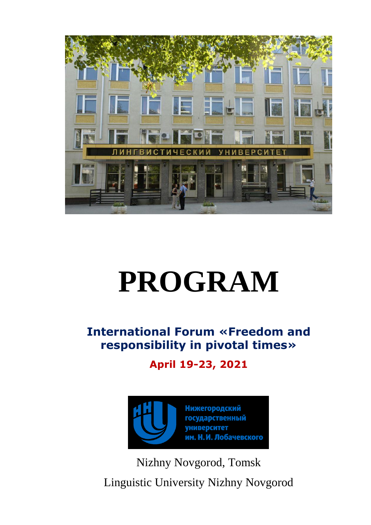

# **PROGRAM**

**International Forum «Freedom and responsibility in pivotal times»**

**April 19-23, 2021**



Nizhny Novgorod, Tomsk Linguistic University Nizhny Novgorod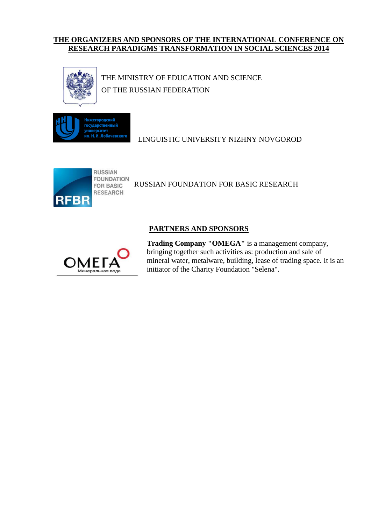# **THE ORGANIZERS AND SPONSORS OF THE INTERNATIONAL CONFERENCE ON RESEARCH PARADIGMS TRANSFORMATION IN SOCIAL SCIENCES 2014**



THE MINISTRY OF EDUCATION AND SCIENCE OF THE RUSSIAN FEDERATION



LINGUISTIC UNIVERSITY NIZHNY NOVGOROD



RUSSIAN FOUNDATION FOR BASIC RESEARCH

# **PARTNERS AND SPONSORS**



**Trading Company "OMEGA"** is a management company, bringing together such activities as: production and sale of mineral water, metalware, building, lease of trading space. It is an initiator of the Charity Foundation "Selena".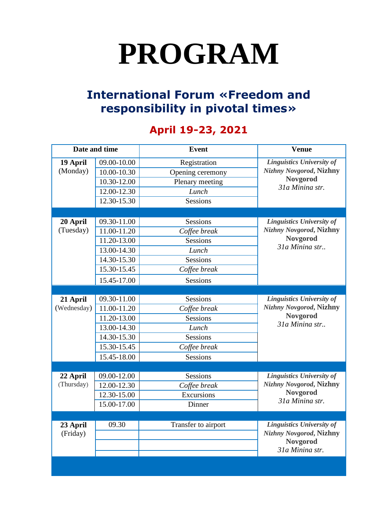# **PROGRAM**

# **International Forum «Freedom and responsibility in pivotal times»**

# **April 19-23, 2021**

| Date and time |             | <b>Event</b>        | <b>Venue</b>                                                                                             |
|---------------|-------------|---------------------|----------------------------------------------------------------------------------------------------------|
| 19 April      | 09.00-10.00 | Registration        | <b>Linguistics University of</b><br><b>Nizhny Novgorod, Nizhny</b><br><b>Novgorod</b><br>31a Minina str. |
| (Monday)      | 10.00-10.30 | Opening ceremony    |                                                                                                          |
|               | 10.30-12.00 | Plenary meeting     |                                                                                                          |
|               | 12.00-12.30 | Lunch               |                                                                                                          |
|               | 12.30-15.30 | <b>Sessions</b>     |                                                                                                          |
|               |             |                     |                                                                                                          |
| 20 April      | 09.30-11.00 | Sessions            | <b>Linguistics University of</b><br><b>Nizhny Novgorod, Nizhny</b><br><b>Novgorod</b><br>31a Minina str  |
| (Tuesday)     | 11.00-11.20 | Coffee break        |                                                                                                          |
|               | 11.20-13.00 | <b>Sessions</b>     |                                                                                                          |
|               | 13.00-14.30 | Lunch               |                                                                                                          |
|               | 14.30-15.30 | <b>Sessions</b>     |                                                                                                          |
|               | 15.30-15.45 | Coffee break        |                                                                                                          |
|               | 15.45-17.00 | Sessions            |                                                                                                          |
|               |             |                     |                                                                                                          |
| 21 April      | 09.30-11.00 | Sessions            | <b>Linguistics University of</b><br><b>Nizhny Novgorod, Nizhny</b><br><b>Novgorod</b><br>31a Minina str  |
| (Wednesday)   | 11.00-11.20 | Coffee break        |                                                                                                          |
|               | 11.20-13.00 | <b>Sessions</b>     |                                                                                                          |
|               | 13.00-14.30 | Lunch               |                                                                                                          |
|               | 14.30-15.30 | <b>Sessions</b>     |                                                                                                          |
|               | 15.30-15.45 | Coffee break        |                                                                                                          |
|               | 15.45-18.00 | <b>Sessions</b>     |                                                                                                          |
|               |             |                     |                                                                                                          |
| 22 April      | 09.00-12.00 | Sessions            | <b>Linguistics University of</b><br><b>Nizhny Novgorod, Nizhny</b><br><b>Novgorod</b><br>31a Minina str. |
| (Thursday)    | 12.00-12.30 | Coffee break        |                                                                                                          |
|               | 12.30-15.00 | Excursions          |                                                                                                          |
|               | 15.00-17.00 | Dinner              |                                                                                                          |
|               |             |                     |                                                                                                          |
| 23 April      | 09.30       | Transfer to airport | <b>Linguistics University of</b><br><b>Nizhny Novgorod, Nizhny</b>                                       |
| (Friday)      |             |                     |                                                                                                          |
|               |             |                     | <b>Novgorod</b><br>31a Minina str.                                                                       |
|               |             |                     |                                                                                                          |
|               |             |                     |                                                                                                          |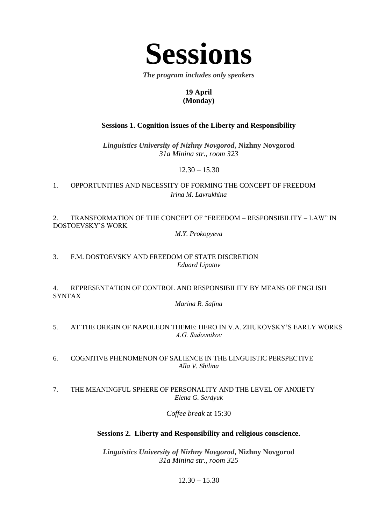

*The program includes only speakers*

# **19 April (Monday)**

# **Sessions 1. Cognition issues of the Liberty and Responsibility**

*Linguistics University of Nizhny Novgorod***, Nizhny Novgorod** *31a Minina str., room 323*

 $12.30 - 15.30$ 

1. OPPORTUNITIES AND NECESSITY OF FORMING THE CONCEPT OF FREEDOM *Irina M. Lavrukhina*

2. TRANSFORMATION OF THE CONCEPT OF "FREEDOM – RESPONSIBILITY – LAW" IN DOSTOEVSKY'S WORK

*M.Y. Prokopyeva*

3. F.M. DOSTOEVSKY AND FREEDOM OF STATE DISCRETION *Eduard Lipatov*

4. REPRESENTATION OF CONTROL AND RESPONSIBILITY BY MEANS OF ENGLISH SYNTAX

*Marina R. Safina*

5. AT THE ORIGIN OF NAPOLEON THEME: HERO IN V.A. ZHUKOVSKY'S EARLY WORKS *А.G. Sadovnikov*

6. COGNITIVE PHENOMENON OF SALIENCE IN THE LINGUISTIC PERSPECTIVE *Alla V. Shilina*

7. THE MEANINGFUL SPHERE OF PERSONALITY AND THE LEVEL OF ANXIETY *Elena G. Serdyuk*

*Coffee break* at 15:30

# **Sessions 2. Liberty and Responsibility and religious conscience.**

*Linguistics University of Nizhny Novgorod***, Nizhny Novgorod** *31a Minina str., room 325*

 $12.30 - 15.30$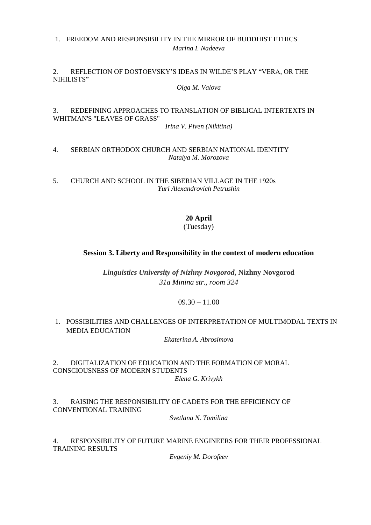## 1. FREEDOM AND RESPONSIBILITY IN THE MIRROR OF BUDDHIST ETHICS *Marina I. Nadeeva*

#### 2. REFLECTION OF DOSTOEVSKY'S IDEAS IN WILDE'S PLAY "VERA, OR THE NIHILISTS"

*Olga M. Valova*

# 3. REDEFINING APPROACHES TO TRANSLATION OF BIBLICAL INTERTEXTS IN WHITMAN'S "LEAVES OF GRASS"

*Irina V. Piven (Nikitina)*

#### 4. SERBIAN ORTHODOX CHURCH AND SERBIAN NATIONAL IDENTITY *Natalya M. Morozova*

5. CHURCH AND SCHOOL IN THE SIBERIAN VILLAGE IN THE 1920s *Yuri Alexandrovich Petrushin*

# **20 April**

(Tuesday)

# **Session 3. Liberty and Responsibility in the context of modern education**

*Linguistics University of Nizhny Novgorod***, Nizhny Novgorod** *31a Minina str., room 324*

# $09.30 - 11.00$

# 1. POSSIBILITIES AND CHALLENGES OF INTERPRETATION OF MULTIMODAL TEXTS IN MEDIA EDUCATION

*Ekaterina A. Abrosimova*

2. DIGITALIZATION OF EDUCATION AND THE FORMATION OF MORAL CONSCIOUSNESS OF MODERN STUDENTS *Elena G. Krivykh*

3. RAISING THE RESPONSIBILITY OF CADETS FOR THE EFFICIENCY OF CONVENTIONAL TRAINING

*Svetlana N. Tomilina*

4. RESPONSIBILITY OF FUTURE MARINE ENGINEERS FOR THEIR PROFESSIONAL TRAINING RESULTS

*Evgeniy M. Dorofeev*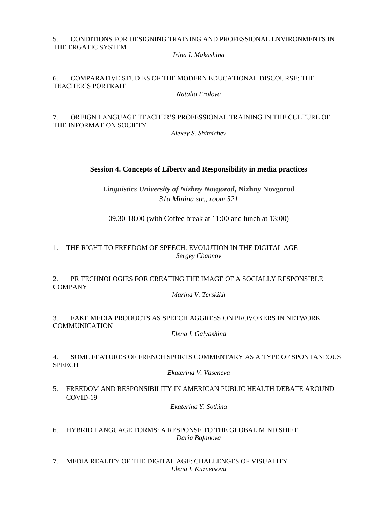#### 5. CONDITIONS FOR DESIGNING TRAINING AND PROFESSIONAL ENVIRONMENTS IN THE ERGATIC SYSTEM

*Irina I. Makashina*

# 6. COMPARATIVE STUDIES OF THE MODERN EDUCATIONAL DISCOURSE: THE TEACHER'S PORTRAIT

*Natalia Frolova*

# 7. OREIGN LANGUAGE TEACHER'S PROFESSIONAL TRAINING IN THE CULTURE OF THE INFORMATION SOCIETY

*Alexey S. Shimichev*

# **Session 4. Concepts of Liberty and Responsibility in media practices**

*Linguistics University of Nizhny Novgorod***, Nizhny Novgorod** *31a Minina str., room 321*

09.30-18.00 (with Coffee break at 11:00 and lunch at 13:00)

# 1. THE RIGHT TO FREEDOM OF SPEECH: EVOLUTION IN THE DIGITAL AGE *Sergey Channov*

# 2. PR TECHNOLOGIES FOR CREATING THE IMAGE OF A SOCIALLY RESPONSIBLE **COMPANY**

*Marina V. Terskikh*

# 3. FAKE MEDIA PRODUCTS AS SPEECH AGGRESSION PROVOKERS IN NETWORK **COMMUNICATION**

*Elena I. Galyashina*

# 4. SOME FEATURES OF FRENCH SPORTS COMMENTARY AS A TYPE OF SPONTANEOUS SPEECH

*Ekaterina V. Vaseneva*

5. FREEDOM AND RESPONSIBILITY IN AMERICAN PUBLIC HEALTH DEBATE AROUND COVID-19

*Ekaterina Y. Sotkina*

- 6. HYBRID LANGUAGE FORMS: A RESPONSE TO THE GLOBAL MIND SHIFT *Daria Bafanova*
- 7. MEDIA REALITY OF THE DIGITAL AGE: CHALLENGES OF VISUALITY *Elena I. Kuznetsova*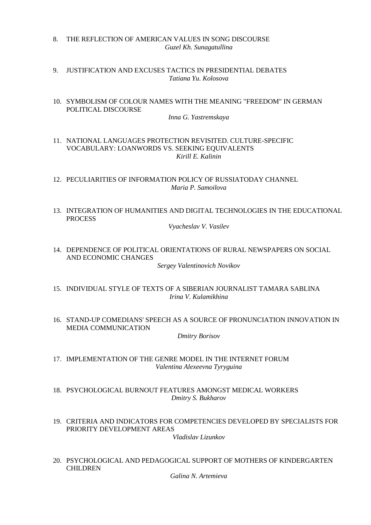- 8. THE REFLECTION OF AMERICAN VALUES IN SONG DISCOURSE *Guzel Kh. Sunagatullina*
- 9. JUSTIFICATION AND EXCUSES TACTICS IN PRESIDENTIAL DEBATES *Tatiana Yu. Kolosova*
- 10. SYMBOLISM OF COLOUR NAMES WITH THE MEANING "FREEDOM" IN GERMAN POLITICAL DISCOURSE

*Inna G. Yastremskaya*

- 11. NATIONAL LANGUAGES PROTECTION REVISITED. CULTURE-SPECIFIC VOCABULARY: LOANWORDS VS. SEEKING EQUIVALENTS *Kirill E. Kalinin*
- 12. PECULIARITIES OF INFORMATION POLICY OF RUSSIATODAY CHANNEL *Maria P. Samoilova*
- 13. INTEGRATION OF HUMANITIES AND DIGITAL TECHNOLOGIES IN THE EDUCATIONAL PROCESS

*Vyacheslav V. Vasilev*

14. DEPENDENCE OF POLITICAL ORIENTATIONS OF RURAL NEWSPAPERS ON SOCIAL AND ECONOMIC CHANGES

*Sergey Valentinovich Novikov*

- 15. INDIVIDUAL STYLE OF TEXTS OF A SIBERIAN JOURNALIST TAMARA SABLINA *Irina V. Kulamikhina*
- 16. STAND-UP COMEDIANS' SPEECH AS A SOURCE OF PRONUNCIATION INNOVATION IN MEDIA COMMUNICATION

*Dmitry Borisov*

- 17. IMPLEMENTATION OF THE GENRE MODEL IN THE INTERNET FORUM *Valentina Alexeevna Tyryguina*
- 18. PSYCHOLOGICAL BURNOUT FEATURES AMONGST MEDICAL WORKERS *Dmitry S. Bukharov*
- 19. CRITERIA AND INDICATORS FOR COMPETENCIES DEVELOPED BY SPECIALISTS FOR PRIORITY DEVELOPMENT AREAS

*Vladislav Lizunkov*

20. PSYCHOLOGICAL AND PEDAGOGICAL SUPPORT OF MOTHERS OF KINDERGARTEN CHILDREN

*Galina N. Artemieva*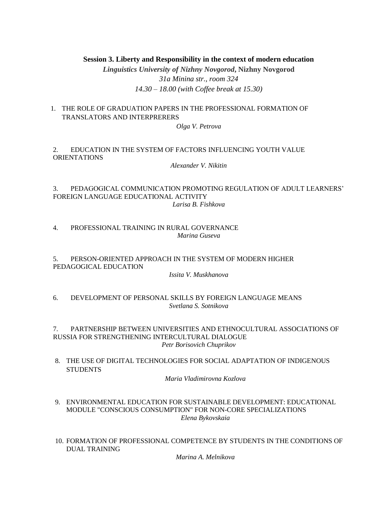#### **Session 3. Liberty and Responsibility in the context of modern education**

*Linguistics University of Nizhny Novgorod***, Nizhny Novgorod** *31a Minina str., room 324 14.30 – 18.00 (with Coffee break at 15.30)*

1. THE ROLE OF GRADUATION PAPERS IN THE PROFESSIONAL FORMATION OF TRANSLATORS AND INTERPRERERS

*Olga V. Petrova*

## 2. EDUCATION IN THE SYSTEM OF FACTORS INFLUENCING YOUTH VALUE ORIENTATIONS

*Alexander V. Nikitin*

3. PEDAGOGICAL COMMUNICATION PROMOTING REGULATION OF ADULT LEARNERS' FOREIGN LANGUAGE EDUCATIONAL ACTIVITY *Larisa B. Fishkova*

4. PROFESSIONAL TRAINING IN RURAL GOVERNANCE *Marina Guseva*

5. PERSON-ORIENTED APPROACH IN THE SYSTEM OF MODERN HIGHER PEDAGOGICAL EDUCATION

*Issita V. Muskhanova*

6. DEVELOPMENT OF PERSONAL SKILLS BY FOREIGN LANGUAGE MEANS *Svetlana S. Sotnikova*

7. PARTNERSHIP BETWEEN UNIVERSITIES AND ETHNOCULTURAL ASSOCIATIONS OF RUSSIA FOR STRENGTHENING INTERCULTURAL DIALOGUE *Petr Borisovich Chuprikov*

8. THE USE OF DIGITAL TECHNOLOGIES FOR SOCIAL ADAPTATION OF INDIGENOUS STUDENTS

#### *Maria Vladimirovna Kozlova*

- 9. ENVIRONMENTAL EDUCATION FOR SUSTAINABLE DEVELOPMENT: EDUCATIONAL MODULE "CONSCIOUS CONSUMPTION" FOR NON-CORE SPECIALIZATIONS *Elena Bykovskaia*
- 10. FORMATION OF PROFESSIONAL COMPETENCE BY STUDENTS IN THE CONDITIONS OF DUAL TRAINING

*Marina A. Melnikova*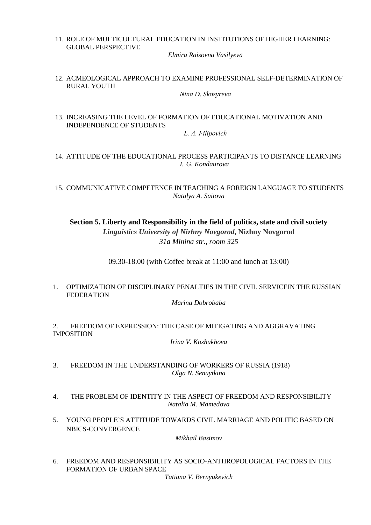11. ROLE OF MULTICULTURAL EDUCATION IN INSTITUTIONS OF HIGHER LEARNING: GLOBAL PERSPECTIVE

*Elmira Raisovna Vasilyeva*

12. ACMEOLOGICAL APPROACH TO EXAMINE PROFESSIONAL SELF-DETERMINATION OF RURAL YOUTH

*Nina D. Skosyreva*

13. INCREASING THE LEVEL OF FORMATION OF EDUCATIONAL MOTIVATION AND INDEPENDENCE OF STUDENTS

*L. А. Filipovich*

- 14. ATTITUDE OF THE EDUCATIONAL PROCESS PARTICIPANTS TO DISTANCE LEARNING *I. G. Kondaurova*
- 15. COMMUNICATIVE COMPETENCE IN TEACHING A FOREIGN LANGUAGE TO STUDENTS *Natalya A. Saitova*

**Section 5. Liberty and Responsibility in the field of politics, state and civil society** *Linguistics University of Nizhny Novgorod***, Nizhny Novgorod** *31a Minina str., room 325*

09.30-18.00 (with Coffee break at 11:00 and lunch at 13:00)

1. OPTIMIZATION OF DISCIPLINARY PENALTIES IN THE CIVIL SERVICEIN THE RUSSIAN FEDERATION

*Marina Dobrobaba*

2. FREEDOM OF EXPRESSION: THE CASE OF MITIGATING AND AGGRAVATING IMPOSITION

*Irina V. Kozhukhova*

- 3. FREEDOM IN THE UNDERSTANDING OF WORKERS OF RUSSIA (1918) *Olga N. Senuytkina*
- 4. THE PROBLEM OF IDENTITY IN THE ASPECT OF FREEDOM AND RESPONSIBILITY *Natalia M. Mamedova*
- 5. YOUNG PEOPLE'S ATTITUDE TOWARDS CIVIL MARRIAGE AND POLITIC BASED ON NBICS-CONVERGENCE

*Mikhail Basimov*

6. FREEDOM AND RESPONSIBILITY AS SOCIO-ANTHROPOLOGICAL FACTORS IN THE FORMATION OF URBAN SPACE

*Tatiana V. Bernyukevich*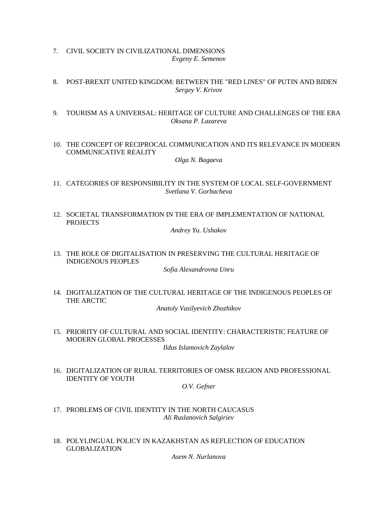- 7. CIVIL SOCIETY IN CIVILIZATIONAL DIMENSIONS *Evgeny E. Semenov*
- 8. POST-BREXIT UNITED KINGDOM: BETWEEN THE "RED LINES" OF PUTIN AND BIDEN *Sergey V. Krivov*
- 9. TOURISM AS A UNIVERSAL: HERITAGE OF CULTURE AND CHALLENGES OF THE ERA *Oksana P. Lazareva*
- 10. THE CONCEPT OF RECIPROCAL COMMUNICATION AND ITS RELEVANCE IN MODERN COMMUNICATIVE REALITY

*Olga N. Bagaeva*

- 11. CATEGORIES OF RESPONSIBILITY IN THE SYSTEM OF LOCAL SELF-GOVERNMENT *Svetlana V. Gorbacheva*
- 12. SOCIETAL TRANSFORMATION IN THE ERA OF IMPLEMENTATION OF NATIONAL PROJECTS

*Andrey Yu. Ushakov*

13. THE ROLE OF DIGITALISATION IN PRESERVING THE CULTURAL HERITAGE OF INDIGENOUS PEOPLES

*Sofia Alexandrovna Unru*

14. DIGITALIZATION OF THE CULTURAL HERITAGE OF THE INDIGENOUS PEOPLES OF THE ARCTIC

*Anatoly Vasilyevich Zhozhikov*

- 15. PRIORITY OF CULTURAL AND SOCIAL IDENTITY: CHARACTERISTIC FEATURE OF MODERN GLOBAL PROCESSES *Ildus Islamovich Zaylalov*
- 16. DIGITALIZATION OF RURAL TERRITORIES OF OMSK REGION AND PROFESSIONAL IDENTITY OF YOUTH

*O.V. Gefner*

- 17. PROBLEMS OF CIVIL IDENTITY IN THE NORTH CAUCASUS *Ali Ruslanovich Salgiriev*
- 18. POLYLINGUAL POLICY IN KAZAKHSTAN AS REFLECTION OF EDUCATION GLOBALIZATION

*Asem N. Nurlanova*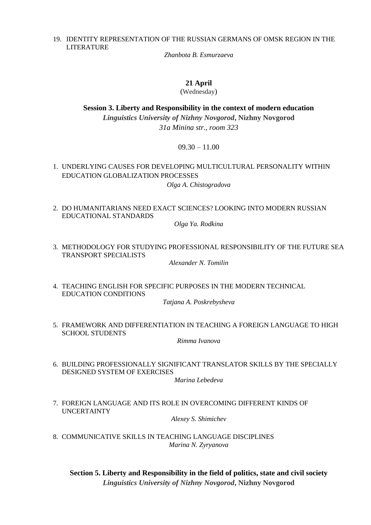#### 19. IDENTITY REPRESENTATION OF THE RUSSIAN GERMANS OF OMSK REGION IN THE LITERATURE

*Zhanbota B. Esmurzaeva*

#### **21 April**

(Wednesday)

**Session 3. Liberty and Responsibility in the context of modern education** *Linguistics University of Nizhny Novgorod***, Nizhny Novgorod** *31a Minina str., room 323*

 $09.30 - 11.00$ 

1. UNDERLYING CAUSES FOR DEVELOPING MULTICULTURAL PERSONALITY WITHIN EDUCATION GLOBALIZATION PROCESSES

*Olga A. Chistogradova*

2. DO HUMANITARIANS NEED EXACT SCIENCES? LOOKING INTO MODERN RUSSIAN EDUCATIONAL STANDARDS

*Olga Ya. Rodkina*

3. METHODOLOGY FOR STUDYING PROFESSIONAL RESPONSIBILITY OF THE FUTURE SEA TRANSPORT SPECIALISTS

*Alexander N. Tomilin*

4. TEACHING ENGLISH FOR SPECIFIC PURPOSES IN THE MODERN TECHNICAL EDUCATION CONDITIONS

*Tatjana A. Poskrebysheva*

5. FRAMEWORK AND DIFFERENTIATION IN TEACHING A FOREIGN LANGUAGE TO HIGH SCHOOL STUDENTS

*Rimma Ivanova*

6. BUILDING PROFESSIONALLY SIGNIFICANT TRANSLATOR SKILLS BY THE SPECIALLY DESIGNED SYSTEM OF EXERCISES

*Marina Lebedeva*

7. FOREIGN LANGUAGE AND ITS ROLE IN OVERCOMING DIFFERENT KINDS OF UNCERTAINTY

*Alexey S. Shimichev*

8. COMMUNICATIVE SKILLS IN TEACHING LANGUAGE DISCIPLINES *Marina N. Zyryanova*

**Section 5. Liberty and Responsibility in the field of politics, state and civil society** *Linguistics University of Nizhny Novgorod***, Nizhny Novgorod**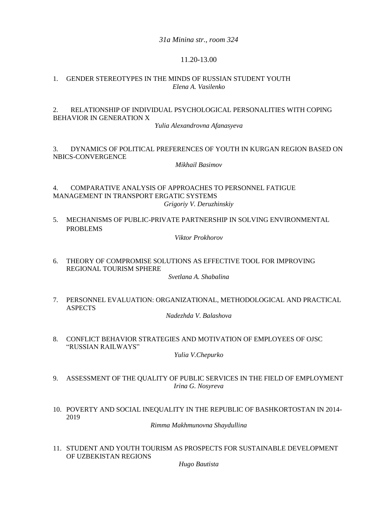*31a Minina str., room 324*

## 11.20-13.00

#### 1. GENDER STEREOTYPES IN THE MINDS OF RUSSIAN STUDENT YOUTH *Elena A. Vasilenko*

## 2. RELATIONSHIP OF INDIVIDUAL PSYCHOLOGICAL PERSONALITIES WITH COPING BEHAVIOR IN GENERATION X

*Yulia Alexandrovna Afanasyeva*

## 3. DYNAMICS OF POLITICAL PREFERENCES OF YOUTH IN KURGAN REGION BASED ON NBICS-CONVERGENCE

*Mikhail Basimov*

4. COMPARATIVE ANALYSIS OF APPROACHES TO PERSONNEL FATIGUE MANAGEMENT IN TRANSPORT ERGATIC SYSTEMS *Grigoriy V. Deruzhinskiy*

5. MECHANISMS OF PUBLIC-PRIVATE PARTNERSHIP IN SOLVING ENVIRONMENTAL PROBLEMS

*Viktor Prokhorov*

6. THEORY OF COMPROMISE SOLUTIONS AS EFFECTIVE TOOL FOR IMPROVING REGIONAL TOURISM SPHERE

*Svetlana A. Shabalina*

7. PERSONNEL EVALUATION: ORGANIZATIONAL, METHODOLOGICAL AND PRACTICAL ASPECTS

*Nadezhda V. Balashova*

8. CONFLICT BEHAVIOR STRATEGIES AND MOTIVATION OF EMPLOYEES OF OJSC "RUSSIAN RAILWAYS"

*Yulia V.Chepurko*

- 9. ASSESSMENT OF THE QUALITY OF PUBLIC SERVICES IN THE FIELD OF EMPLOYMENT *Irina G. Nosyreva*
- 10. POVERTY AND SOCIAL INEQUALITY IN THE REPUBLIC OF BASHKORTOSTAN IN 2014- 2019

*Rimma Makhmunovna Shaydullina*

11. STUDENT AND YOUTH TOURISM AS PROSPECTS FOR SUSTAINABLE DEVELOPMENT OF UZBEKISTAN REGIONS

*Hugo Bautista*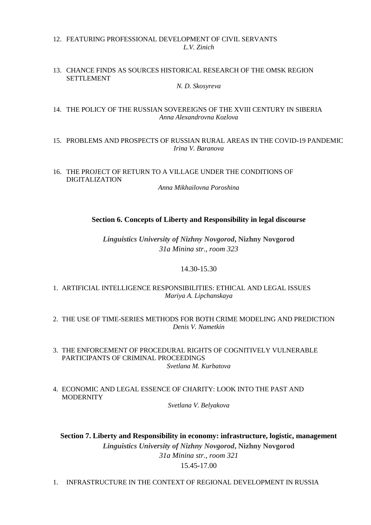#### 12. FEATURING PROFESSIONAL DEVELOPMENT OF CIVIL SERVANTS *L.V. Zinich*

#### 13. CHANCE FINDS AS SOURCES HISTORICAL RESEARCH OF THE OMSK REGION SETTLEMENT

*N. D. Skosyreva*

#### 14. THE POLICY OF THE RUSSIAN SOVEREIGNS OF THE XVIII CENTURY IN SIBERIA *Anna Alexandrovna Kozlova*

# 15. PROBLEMS AND PROSPECTS OF RUSSIAN RURAL AREAS IN THE COVID-19 PANDEMIC *Irina V. Baranova*

# 16. THE PROJECT OF RETURN TO A VILLAGE UNDER THE CONDITIONS OF DIGITALIZATION

*Anna Mikhailovna Poroshina*

# **Section 6. Concepts of Liberty and Responsibility in legal discourse**

*Linguistics University of Nizhny Novgorod***, Nizhny Novgorod** *31a Minina str., room 323*

# 14.30-15.30

# 1. ARTIFICIAL INTELLIGENCE RESPONSIBILITIES: ETHICAL AND LEGAL ISSUES *Mariya A. Lipchanskaya*

- 2. THE USE OF TIME-SERIES METHODS FOR BOTH CRIME MODELING AND PREDICTION *Denis V. Nametkin*
- 3. THE ENFORCEMENT OF PROCEDURAL RIGHTS OF COGNITIVELY VULNERABLE PARTICIPANTS OF CRIMINAL PROCEEDINGS *Svetlana M. Kurbatova*
- 4. ECONOMIC AND LEGAL ESSENCE OF CHARITY: LOOK INTO THE PAST AND **MODERNITY**

*Svetlana V. Belyakova*

**Section 7. Liberty and Responsibility in economy: infrastructure, logistic, management** *Linguistics University of Nizhny Novgorod***, Nizhny Novgorod** *31a Minina str., room 321* 15.45-17.00

1. INFRASTRUCTURE IN THE CONTEXT OF REGIONAL DEVELOPMENT IN RUSSIA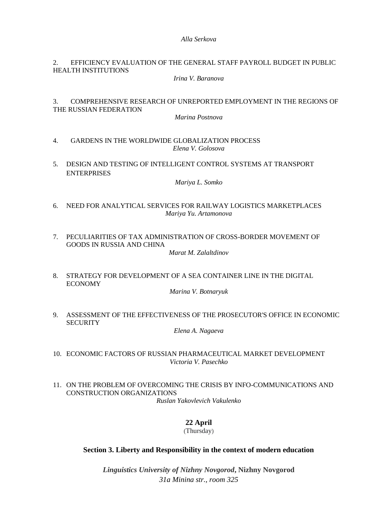#### *Alla Serkova*

#### 2. EFFICIENCY EVALUATION OF THE GENERAL STAFF PAYROLL BUDGET IN PUBLIC HEALTH INSTITUTIONS

*Irina V. Baranova*

# 3. COMPREHENSIVE RESEARCH OF UNREPORTED EMPLOYMENT IN THE REGIONS OF THE RUSSIAN FEDERATION

*Marina Postnova*

- 4. GARDENS IN THE WORLDWIDE GLOBALIZATION PROCESS *Elena V. Golosova*
- 5. DESIGN AND TESTING OF INTELLIGENT CONTROL SYSTEMS AT TRANSPORT ENTERPRISES

*Mariya L. Somko*

- 6. NEED FOR ANALYTICAL SERVICES FOR RAILWAY LOGISTICS MARKETPLACES *Mariya Yu. Artamonova*
- 7. PECULIARITIES OF TAX ADMINISTRATION OF CROSS-BORDER MOVEMENT OF GOODS IN RUSSIA AND CHINA

*Marat M. Zalaltdinov*

8. STRATEGY FOR DEVELOPMENT OF A SEA CONTAINER LINE IN THE DIGITAL ECONOMY

*Marina V. Botnaryuk*

9. ASSESSMENT OF THE EFFECTIVENESS OF THE PROSECUTOR'S OFFICE IN ECONOMIC **SECURITY** 

*Elena A. Nagaeva*

- 10. ECONOMIC FACTORS OF RUSSIAN PHARMACEUTICAL MARKET DEVELOPMENT *Victoria V. Pasechko*
- 11. ON THE PROBLEM OF OVERCOMING THE CRISIS BY INFO-COMMUNICATIONS AND CONSTRUCTION ORGANIZATIONS *Ruslan Yakovlevich Vakulenko*

**22 April** (Thursday)

# **Section 3. Liberty and Responsibility in the context of modern education**

*Linguistics University of Nizhny Novgorod***, Nizhny Novgorod** *31a Minina str., room 325*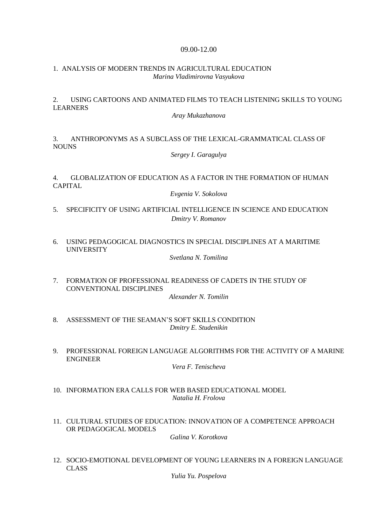#### 09.00-12.00

#### 1. ANALYSIS OF MODERN TRENDS IN AGRICULTURAL EDUCATION *Marina Vladimirovna Vasyukova*

## 2. USING CARTOONS AND ANIMATED FILMS TO TEACH LISTENING SKILLS TO YOUNG LEARNERS

#### *Aray Mukazhanova*

# 3. ANTHROPONYMS AS A SUBCLASS OF THE LEXICAL-GRAMMATICAL CLASS OF NOUNS

*Sergey I. Garagulya*

# 4. GLOBALIZATION OF EDUCATION AS A FACTOR IN THE FORMATION OF HUMAN CAPITAL

*Evgenia V. Sokolova*

- 5. SPECIFICITY OF USING ARTIFICIAL INTELLIGENCE IN SCIENCE AND EDUCATION *Dmitry V. Romanov*
- 6. USING PEDAGOGICAL DIAGNOSTICS IN SPECIAL DISCIPLINES AT A MARITIME UNIVERSITY

*Svetlana N. Tomilina*

- 7. FORMATION OF PROFESSIONAL READINESS OF CADETS IN THE STUDY OF CONVENTIONAL DISCIPLINES *Alexander N. Tomilin*
- 8. ASSESSMENT OF THE SEAMAN'S SOFT SKILLS CONDITION *Dmitry E. Studenikin*
- 9. PROFESSIONAL FOREIGN LANGUAGE ALGORITHMS FOR THE ACTIVITY OF A MARINE ENGINEER

*Vera F. Tenischeva*

- 10. INFORMATION ERA CALLS FOR WEB BASED EDUCATIONAL MODEL *Natalia H. Frolova*
- 11. CULTURAL STUDIES OF EDUCATION: INNOVATION OF A COMPETENCE APPROACH OR PEDAGOGICAL MODELS

*Galina V. Korotkova*

12. SOCIO-EMOTIONAL DEVELOPMENT OF YOUNG LEARNERS IN A FOREIGN LANGUAGE CLASS

*Yulia Yu. Pospelova*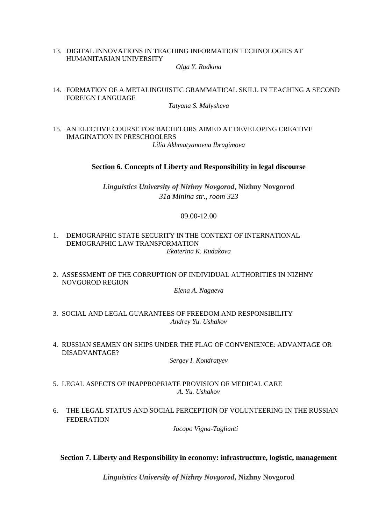# 13. DIGITAL INNOVATIONS IN TEACHING INFORMATION TECHNOLOGIES AT HUMANITARIAN UNIVERSITY

*Olga Y. Rodkina*

14. FORMATION OF A METALINGUISTIC GRAMMATICAL SKILL IN TEACHING A SECOND FOREIGN LANGUAGE

#### *Tatyana S. Malysheva*

15. AN ELECTIVE COURSE FOR BACHELORS AIMED AT DEVELOPING CREATIVE IMAGINATION IN PRESCHOOLERS *Lilia Akhmatyanovna Ibragimova*

**Section 6. Concepts of Liberty and Responsibility in legal discourse**

*Linguistics University of Nizhny Novgorod***, Nizhny Novgorod** *31a Minina str., room 323*

# 09.00-12.00

- 1. DEMOGRAPHIC STATE SECURITY IN THE CONTEXT OF INTERNATIONAL DEMOGRAPHIC LAW TRANSFORMATION *Ekaterina K. Rudakova*
- 2. ASSESSMENT OF THE CORRUPTION OF INDIVIDUAL AUTHORITIES IN NIZHNY NOVGOROD REGION

*Elena A. Nagaeva*

- 3. SOCIAL AND LEGAL GUARANTEES OF FREEDOM AND RESPONSIBILITY *Andrey Yu. Ushakov*
- 4. RUSSIAN SEAMEN ON SHIPS UNDER THE FLAG OF CONVENIENCE: ADVANTAGE OR DISADVANTAGE?

*Sergey I. Kondratyev*

- 5. LEGAL ASPECTS OF INAPPROPRIATE PROVISION OF MEDICAL CARE *A. Yu. Ushakov*
- 6. THE LEGAL STATUS AND SOCIAL PERCEPTION OF VOLUNTEERING IN THE RUSSIAN FEDERATION

*Jacopo Vigna-Taglianti*

#### **Section 7. Liberty and Responsibility in economy: infrastructure, logistic, management**

*Linguistics University of Nizhny Novgorod***, Nizhny Novgorod**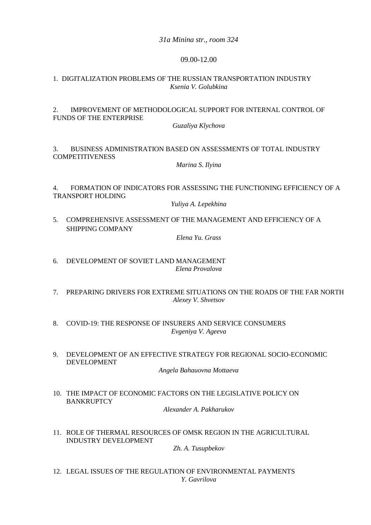*31a Minina str., room 324*

#### 09.00-12.00

#### 1. DIGITALIZATION PROBLEMS OF THE RUSSIAN TRANSPORTATION INDUSTRY *Ksenia V. Golubkina*

## 2. IMPROVEMENT OF METHODOLOGICAL SUPPORT FOR INTERNAL CONTROL OF FUNDS OF THE ENTERPRISE

*Guzaliya Klychova*

# 3. BUSINESS ADMINISTRATION BASED ON ASSESSMENTS OF TOTAL INDUSTRY **COMPETITIVENESS**

*Marina S. Ilyina*

4. FORMATION OF INDICATORS FOR ASSESSING THE FUNCTIONING EFFICIENCY OF A TRANSPORT HOLDING

*Yuliya A. Lepekhina*

5. COMPREHENSIVE ASSESSMENT OF THE MANAGEMENT AND EFFICIENCY OF A SHIPPING COMPANY

*Elena Yu. Grass*

- 6. DEVELOPMENT OF SOVIET LAND MANAGEMENT *Elena Provalova*
- 7. PREPARING DRIVERS FOR EXTREME SITUATIONS ON THE ROADS OF THE FAR NORTH *Alexey V. Shvetsov*
- 8. COVID-19: THE RESPONSE OF INSURERS AND SERVICE CONSUMERS *Evgeniya V. Ageeva*
- 9. DEVELOPMENT OF AN EFFECTIVE STRATEGY FOR REGIONAL SOCIO-ECONOMIC DEVELOPMENT

#### *Angela Bahauovna Mottaeva*

10. THE IMPACT OF ECONOMIC FACTORS ON THE LEGISLATIVE POLICY ON BANKRUPTCY

*Alexander A. Pakharukov*

11. ROLE OF THERMAL RESOURCES OF OMSK REGION IN THE AGRICULTURAL INDUSTRY DEVELOPMENT

*Zh. A. Tusupbekov*

12. LEGAL ISSUES OF THE REGULATION OF ENVIRONMENTAL PAYMENTS *Y. Gavrilova*